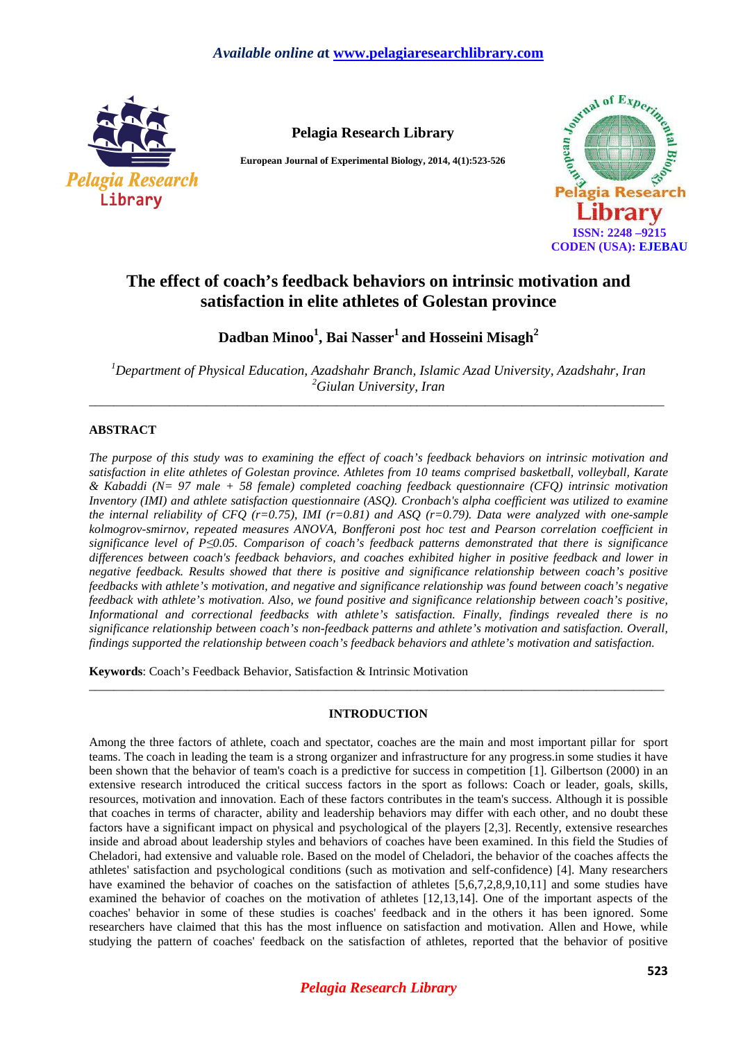

**Pelagia Research Library** 

**European Journal of Experimental Biology, 2014, 4(1):523-526** 



# **The effect of coach's feedback behaviors on intrinsic motivation and satisfaction in elite athletes of Golestan province**

**Dadban Minoo<sup>1</sup> , Bai Nasser<sup>1</sup>and Hosseini Misagh<sup>2</sup>**

*<sup>1</sup>Department of Physical Education, Azadshahr Branch, Islamic Azad University, Azadshahr, Iran <sup>2</sup>Giulan University, Iran*  \_\_\_\_\_\_\_\_\_\_\_\_\_\_\_\_\_\_\_\_\_\_\_\_\_\_\_\_\_\_\_\_\_\_\_\_\_\_\_\_\_\_\_\_\_\_\_\_\_\_\_\_\_\_\_\_\_\_\_\_\_\_\_\_\_\_\_\_\_\_\_\_\_\_\_\_\_\_\_\_\_\_\_\_\_\_\_\_\_\_\_\_\_

## **ABSTRACT**

*The purpose of this study was to examining the effect of coach's feedback behaviors on intrinsic motivation and satisfaction in elite athletes of Golestan province. Athletes from 10 teams comprised basketball, volleyball, Karate & Kabaddi (N= 97 male + 58 female) completed coaching feedback questionnaire (CFQ) intrinsic motivation Inventory (IMI) and athlete satisfaction questionnaire (ASQ). Cronbach's alpha coefficient was utilized to examine the internal reliability of CFQ (r=0.75), IMI (r=0.81) and ASQ (r=0.79). Data were analyzed with one-sample kolmogrov-smirnov, repeated measures ANOVA, Bonfferoni post hoc test and Pearson correlation coefficient in significance level of P≤0.05. Comparison of coach's feedback patterns demonstrated that there is significance differences between coach's feedback behaviors, and coaches exhibited higher in positive feedback and lower in negative feedback. Results showed that there is positive and significance relationship between coach's positive feedbacks with athlete's motivation, and negative and significance relationship was found between coach's negative feedback with athlete's motivation. Also, we found positive and significance relationship between coach's positive, Informational and correctional feedbacks with athlete's satisfaction. Finally, findings revealed there is no significance relationship between coach's non-feedback patterns and athlete's motivation and satisfaction. Overall, findings supported the relationship between coach's feedback behaviors and athlete's motivation and satisfaction.* 

**Keywords**: Coach's Feedback Behavior, Satisfaction & Intrinsic Motivation

## **INTRODUCTION**

\_\_\_\_\_\_\_\_\_\_\_\_\_\_\_\_\_\_\_\_\_\_\_\_\_\_\_\_\_\_\_\_\_\_\_\_\_\_\_\_\_\_\_\_\_\_\_\_\_\_\_\_\_\_\_\_\_\_\_\_\_\_\_\_\_\_\_\_\_\_\_\_\_\_\_\_\_\_\_\_\_\_\_\_\_\_\_\_\_\_\_\_\_

Among the three factors of athlete, coach and spectator, coaches are the main and most important pillar for sport teams. The coach in leading the team is a strong organizer and infrastructure for any progress.in some studies it have been shown that the behavior of team's coach is a predictive for success in competition [1]. Gilbertson (2000) in an extensive research introduced the critical success factors in the sport as follows: Coach or leader, goals, skills, resources, motivation and innovation. Each of these factors contributes in the team's success. Although it is possible that coaches in terms of character, ability and leadership behaviors may differ with each other, and no doubt these factors have a significant impact on physical and psychological of the players [2,3]. Recently, extensive researches inside and abroad about leadership styles and behaviors of coaches have been examined. In this field the Studies of Cheladori, had extensive and valuable role. Based on the model of Cheladori, the behavior of the coaches affects the athletes' satisfaction and psychological conditions (such as motivation and self-confidence) [4]. Many researchers have examined the behavior of coaches on the satisfaction of athletes [5,6,7,2,8,9,10,11] and some studies have examined the behavior of coaches on the motivation of athletes [12,13,14]. One of the important aspects of the coaches' behavior in some of these studies is coaches' feedback and in the others it has been ignored. Some researchers have claimed that this has the most influence on satisfaction and motivation. Allen and Howe, while studying the pattern of coaches' feedback on the satisfaction of athletes, reported that the behavior of positive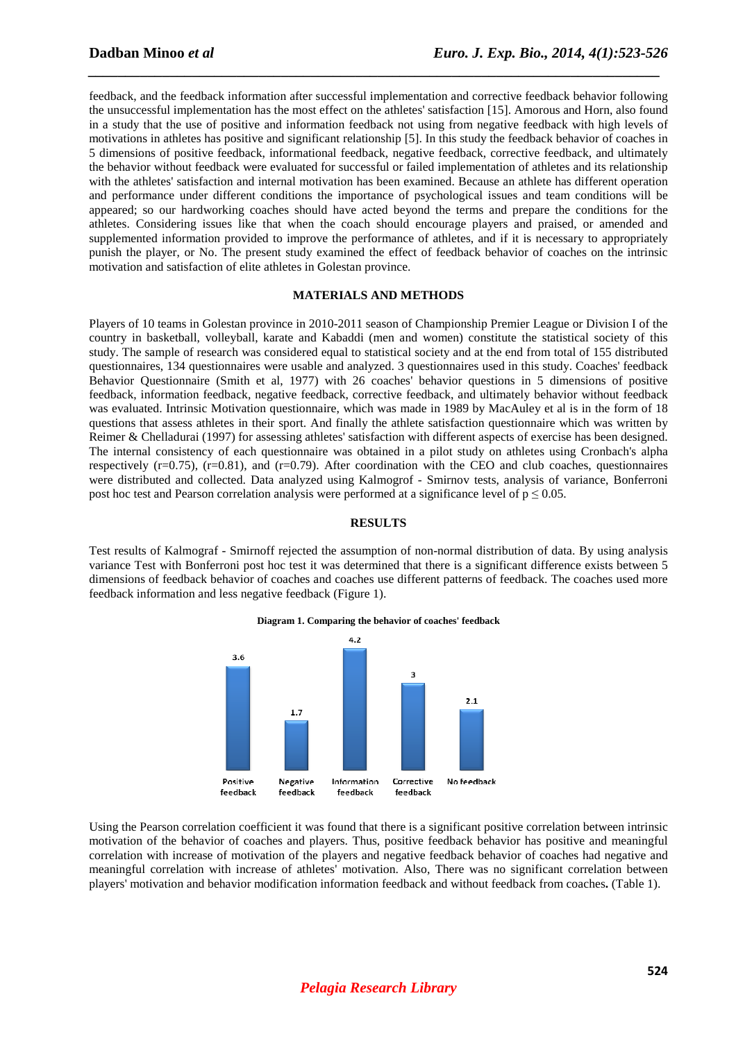feedback, and the feedback information after successful implementation and corrective feedback behavior following the unsuccessful implementation has the most effect on the athletes' satisfaction [15]. Amorous and Horn, also found in a study that the use of positive and information feedback not using from negative feedback with high levels of motivations in athletes has positive and significant relationship [5]. In this study the feedback behavior of coaches in 5 dimensions of positive feedback, informational feedback, negative feedback, corrective feedback, and ultimately the behavior without feedback were evaluated for successful or failed implementation of athletes and its relationship with the athletes' satisfaction and internal motivation has been examined. Because an athlete has different operation and performance under different conditions the importance of psychological issues and team conditions will be appeared; so our hardworking coaches should have acted beyond the terms and prepare the conditions for the athletes. Considering issues like that when the coach should encourage players and praised, or amended and supplemented information provided to improve the performance of athletes, and if it is necessary to appropriately punish the player, or No. The present study examined the effect of feedback behavior of coaches on the intrinsic motivation and satisfaction of elite athletes in Golestan province.

*\_\_\_\_\_\_\_\_\_\_\_\_\_\_\_\_\_\_\_\_\_\_\_\_\_\_\_\_\_\_\_\_\_\_\_\_\_\_\_\_\_\_\_\_\_\_\_\_\_\_\_\_\_\_\_\_\_\_\_\_\_\_\_\_\_\_\_\_\_\_\_\_\_\_\_\_\_*

### **MATERIALS AND METHODS**

Players of 10 teams in Golestan province in 2010-2011 season of Championship Premier League or Division I of the country in basketball, volleyball, karate and Kabaddi (men and women) constitute the statistical society of this study. The sample of research was considered equal to statistical society and at the end from total of 155 distributed questionnaires, 134 questionnaires were usable and analyzed. 3 questionnaires used in this study. Coaches' feedback Behavior Questionnaire (Smith et al, 1977) with 26 coaches' behavior questions in 5 dimensions of positive feedback, information feedback, negative feedback, corrective feedback, and ultimately behavior without feedback was evaluated. Intrinsic Motivation questionnaire, which was made in 1989 by MacAuley et al is in the form of 18 questions that assess athletes in their sport. And finally the athlete satisfaction questionnaire which was written by Reimer & Chelladurai (1997) for assessing athletes' satisfaction with different aspects of exercise has been designed. The internal consistency of each questionnaire was obtained in a pilot study on athletes using Cronbach's alpha respectively  $(r=0.75)$ ,  $(r=0.81)$ , and  $(r=0.79)$ . After coordination with the CEO and club coaches, questionnaires were distributed and collected. Data analyzed using Kalmogrof - Smirnov tests, analysis of variance, Bonferroni post hoc test and Pearson correlation analysis were performed at a significance level of  $p \le 0.05$ .

#### **RESULTS**

Test results of Kalmograf - Smirnoff rejected the assumption of non-normal distribution of data. By using analysis variance Test with Bonferroni post hoc test it was determined that there is a significant difference exists between 5 dimensions of feedback behavior of coaches and coaches use different patterns of feedback. The coaches used more feedback information and less negative feedback (Figure 1).



#### **Diagram 1. Comparing the behavior of coaches' feedback**

Using the Pearson correlation coefficient it was found that there is a significant positive correlation between intrinsic motivation of the behavior of coaches and players. Thus, positive feedback behavior has positive and meaningful correlation with increase of motivation of the players and negative feedback behavior of coaches had negative and meaningful correlation with increase of athletes' motivation. Also, There was no significant correlation between players' motivation and behavior modification information feedback and without feedback from coaches**.** (Table 1).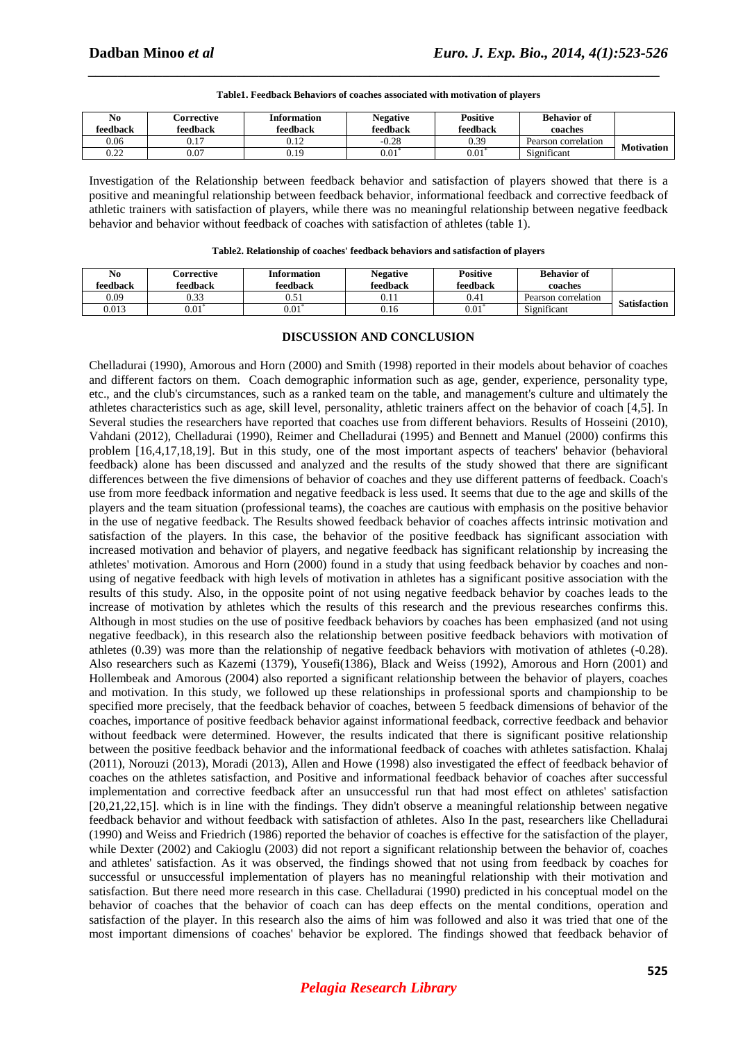0.22 0.07 0.19

|                   | <b>Behavior of</b>  | <b>Positive</b> | <b>Negative</b> | <b>Information</b> | Corrective | No       |  |  |  |  |
|-------------------|---------------------|-----------------|-----------------|--------------------|------------|----------|--|--|--|--|
|                   | coaches             | feedback        | feedback        | feedback           | feedback   | feedback |  |  |  |  |
| <b>Motivation</b> | Pearson correlation | 0.39            | $-0.28$         | 0.12               | 0.17       | 0.06     |  |  |  |  |
|                   | Significant         | $0.01^*$        | 0.01            | 0.19               | 0.07       | 0.22     |  |  |  |  |

**Table1. Feedback Behaviors of coaches associated with motivation of players** 

*\_\_\_\_\_\_\_\_\_\_\_\_\_\_\_\_\_\_\_\_\_\_\_\_\_\_\_\_\_\_\_\_\_\_\_\_\_\_\_\_\_\_\_\_\_\_\_\_\_\_\_\_\_\_\_\_\_\_\_\_\_\_\_\_\_\_\_\_\_\_\_\_\_\_\_\_\_*

Investigation of the Relationship between feedback behavior and satisfaction of players showed that there is a positive and meaningful relationship between feedback behavior, informational feedback and corrective feedback of athletic trainers with satisfaction of players, while there was no meaningful relationship between negative feedback behavior and behavior without feedback of coaches with satisfaction of athletes (table 1).

|                     | <b>Behavior of</b><br>coaches | <b>Positive</b><br>feedback | <b>Negative</b><br>feedback | <b>Information</b><br>feedback | Corrective<br>feedback | No<br>feedback |
|---------------------|-------------------------------|-----------------------------|-----------------------------|--------------------------------|------------------------|----------------|
| <b>Satisfaction</b> | Pearson correlation           | 0.41                        | $_{0.11}$                   | 0.51                           | 0.33                   | 0.09           |
|                     | Significant                   | 0.01                        | 0.16                        | 0.01                           | 0.01                   | 0.013          |

## **DISCUSSION AND CONCLUSION**

Chelladurai (1990), Amorous and Horn (2000) and Smith (1998) reported in their models about behavior of coaches and different factors on them. Coach demographic information such as age, gender, experience, personality type, etc., and the club's circumstances, such as a ranked team on the table, and management's culture and ultimately the athletes characteristics such as age, skill level, personality, athletic trainers affect on the behavior of coach [4,5]. In Several studies the researchers have reported that coaches use from different behaviors. Results of Hosseini (2010), Vahdani (2012), Chelladurai (1990), Reimer and Chelladurai (1995) and Bennett and Manuel (2000) confirms this problem [16,4,17,18,19]. But in this study, one of the most important aspects of teachers' behavior (behavioral feedback) alone has been discussed and analyzed and the results of the study showed that there are significant differences between the five dimensions of behavior of coaches and they use different patterns of feedback. Coach's use from more feedback information and negative feedback is less used. It seems that due to the age and skills of the players and the team situation (professional teams), the coaches are cautious with emphasis on the positive behavior in the use of negative feedback. The Results showed feedback behavior of coaches affects intrinsic motivation and satisfaction of the players. In this case, the behavior of the positive feedback has significant association with increased motivation and behavior of players, and negative feedback has significant relationship by increasing the athletes' motivation. Amorous and Horn (2000) found in a study that using feedback behavior by coaches and nonusing of negative feedback with high levels of motivation in athletes has a significant positive association with the results of this study. Also, in the opposite point of not using negative feedback behavior by coaches leads to the increase of motivation by athletes which the results of this research and the previous researches confirms this. Although in most studies on the use of positive feedback behaviors by coaches has been emphasized (and not using negative feedback), in this research also the relationship between positive feedback behaviors with motivation of athletes (0.39) was more than the relationship of negative feedback behaviors with motivation of athletes (-0.28). Also researchers such as Kazemi (1379), Yousefi(1386), Black and Weiss (1992), Amorous and Horn (2001) and Hollembeak and Amorous (2004) also reported a significant relationship between the behavior of players, coaches and motivation. In this study, we followed up these relationships in professional sports and championship to be specified more precisely, that the feedback behavior of coaches, between 5 feedback dimensions of behavior of the coaches, importance of positive feedback behavior against informational feedback, corrective feedback and behavior without feedback were determined. However, the results indicated that there is significant positive relationship between the positive feedback behavior and the informational feedback of coaches with athletes satisfaction. Khalaj (2011), Norouzi (2013), Moradi (2013), Allen and Howe (1998) also investigated the effect of feedback behavior of coaches on the athletes satisfaction, and Positive and informational feedback behavior of coaches after successful implementation and corrective feedback after an unsuccessful run that had most effect on athletes' satisfaction [20,21,22,15]. which is in line with the findings. They didn't observe a meaningful relationship between negative feedback behavior and without feedback with satisfaction of athletes. Also In the past, researchers like Chelladurai (1990) and Weiss and Friedrich (1986) reported the behavior of coaches is effective for the satisfaction of the player, while Dexter (2002) and Cakioglu (2003) did not report a significant relationship between the behavior of, coaches and athletes' satisfaction. As it was observed, the findings showed that not using from feedback by coaches for successful or unsuccessful implementation of players has no meaningful relationship with their motivation and satisfaction. But there need more research in this case. Chelladurai (1990) predicted in his conceptual model on the behavior of coaches that the behavior of coach can has deep effects on the mental conditions, operation and satisfaction of the player. In this research also the aims of him was followed and also it was tried that one of the most important dimensions of coaches' behavior be explored. The findings showed that feedback behavior of